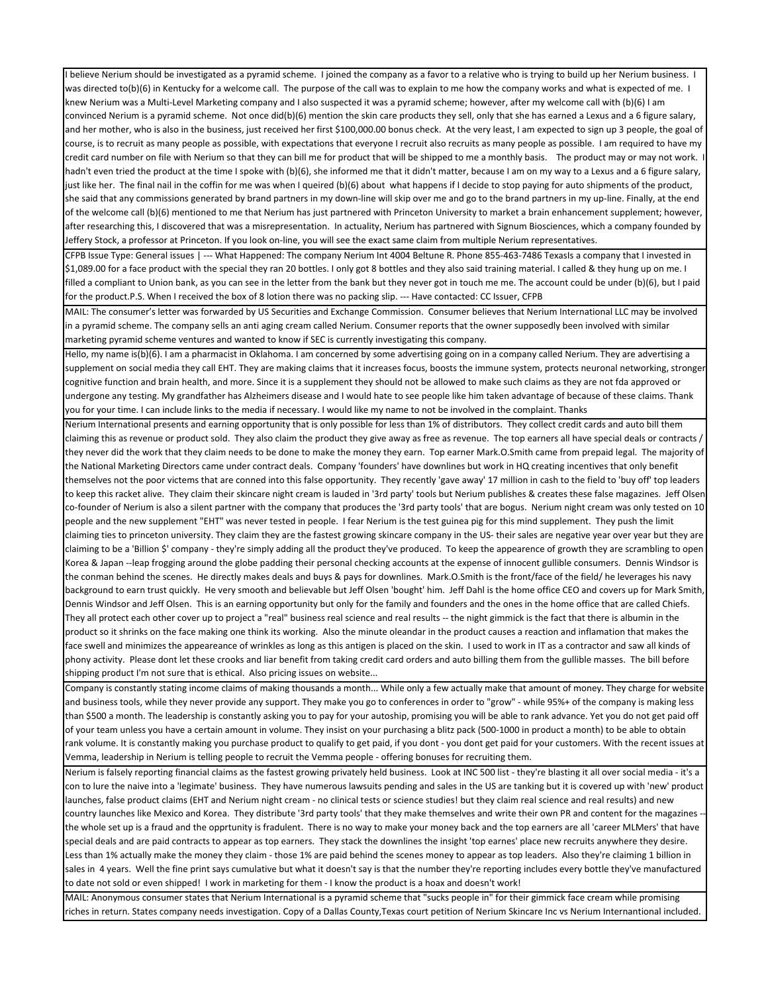I believe Nerium should be investigated as a pyramid scheme. I joined the company as a favor to a relative who is trying to build up her Nerium business. was directed to(b)(6) in Kentucky for a welcome call. The purpose of the call was to explain to me how the company works and what is expected of me. I knew Nerium was a Multi-Level Marketing company and I also suspected it was a pyramid scheme; however, after my welcome call with (b)(6) I am convinced Nerium is a pyramid scheme. Not once did(b)(6) mention the skin care products they sell, only that she has earned a Lexus and a 6 figure salary, and her mother, who is also in the business, just received her first \$100,000.00 bonus check. At the very least, I am expected to sign up 3 people, the goal of course, is to recruit as many people as possible, with expectations that everyone I recruit also recruits as many people as possible. I am required to have my credit card number on file with Nerium so that they can bill me for product that will be shipped to me a monthly basis. The product may or may not work. hadn't even tried the product at the time I spoke with (b)(6), she informed me that it didn't matter, because I am on my way to a Lexus and a 6 figure salary, just like her. The final nail in the coffin for me was when I queired (b)(6) about what happens if I decide to stop paying for auto shipments of the product, she said that any commissions generated by brand partners in my down-line will skip over me and go to the brand partners in my up-line. Finally, at the end of the welcome call (b)(6) mentioned to me that Nerium has just partnered with Princeton University to market a brain enhancement supplement; however, after researching this, I discovered that was a misrepresentation. In actuality, Nerium has partnered with Signum Biosciences, which a company founded by Jeffery Stock, a professor at Princeton. If you look on-line, you will see the exact same claim from multiple Nerium representatives.

CFPB Issue Type: General issues | --- What Happened: The company Nerium Int 4004 Beltune R. Phone 855-463-7486 TexasIs a company that I invested in \$1,089.00 for a face product with the special they ran 20 bottles. I only got 8 bottles and they also said training material. I called & they hung up on me. I filled a compliant to Union bank, as you can see in the letter from the bank but they never got in touch me me. The account could be under (b)(6), but I paid for the product.P.S. When I received the box of 8 lotion there was no packing slip. --- Have contacted: CC Issuer, CFPB

MAIL: The consumer's letter was forwarded by US Securities and Exchange Commission. Consumer believes that Nerium International LLC may be involved in a pyramid scheme. The company sells an anti aging cream called Nerium. Consumer reports that the owner supposedly been involved with similar marketing pyramid scheme ventures and wanted to know if SEC is currently investigating this company.

Hello, my name is(b)(6). I am a pharmacist in Oklahoma. I am concerned by some advertising going on in a company called Nerium. They are advertising a supplement on social media they call EHT. They are making claims that it increases focus, boosts the immune system, protects neuronal networking, stronger cognitive function and brain health, and more. Since it is a supplement they should not be allowed to make such claims as they are not fda approved or undergone any testing. My grandfather has Alzheimers disease and I would hate to see people like him taken advantage of because of these claims. Thank you for your time. I can include links to the media if necessary. I would like my name to not be involved in the complaint. Thanks

Nerium International presents and earning opportunity that is only possible for less than 1% of distributors. They collect credit cards and auto bill them claiming this as revenue or product sold. They also claim the product they give away as free as revenue. The top earners all have special deals or contracts / they never did the work that they claim needs to be done to make the money they earn. Top earner Mark.O.Smith came from prepaid legal. The majority of the National Marketing Directors came under contract deals. Company 'founders' have downlines but work in HQ creating incentives that only benefit themselves not the poor victems that are conned into this false opportunity. They recently 'gave away' 17 million in cash to the field to 'buy off' top leaders to keep this racket alive. They claim their skincare night cream is lauded in '3rd party' tools but Nerium publishes & creates these false magazines. Jeff Olsen co-founder of Nerium is also a silent partner with the company that produces the '3rd party tools' that are bogus. Nerium night cream was only tested on 10 people and the new supplement "EHT" was never tested in people. I fear Nerium is the test guinea pig for this mind supplement. They push the limit claiming ties to princeton university. They claim they are the fastest growing skincare company in the US- their sales are negative year over year but they are claiming to be a 'Billion \$' company - they're simply adding all the product they've produced. To keep the appearence of growth they are scrambling to open Korea & Japan --leap frogging around the globe padding their personal checking accounts at the expense of innocent gullible consumers. Dennis Windsor is the conman behind the scenes. He directly makes deals and buys & pays for downlines. Mark.O.Smith is the front/face of the field/ he leverages his navy background to earn trust quickly. He very smooth and believable but Jeff Olsen 'bought' him. Jeff Dahl is the home office CEO and covers up for Mark Smith, Dennis Windsor and Jeff Olsen. This is an earning opportunity but only for the family and founders and the ones in the home office that are called Chiefs. They all protect each other cover up to project a "real" business real science and real results -- the night gimmick is the fact that there is albumin in the product so it shrinks on the face making one think its working. Also the minute oleandar in the product causes a reaction and inflamation that makes the face swell and minimizes the appeareance of wrinkles as long as this antigen is placed on the skin. I used to work in IT as a contractor and saw all kinds of phony activity. Please dont let these crooks and liar benefit from taking credit card orders and auto billing them from the gullible masses. The bill before shipping product I'm not sure that is ethical. Also pricing issues on website...

Company is constantly stating income claims of making thousands a month... While only a few actually make that amount of money. They charge for website and business tools, while they never provide any support. They make you go to conferences in order to "grow" - while 95%+ of the company is making less than \$500 a month. The leadership is constantly asking you to pay for your autoship, promising you will be able to rank advance. Yet you do not get paid off of your team unless you have a certain amount in volume. They insist on your purchasing a blitz pack (500-1000 in product a month) to be able to obtain rank volume. It is constantly making you purchase product to qualify to get paid, if you dont - you dont get paid for your customers. With the recent issues at Vemma, leadership in Nerium is telling people to recruit the Vemma people - offering bonuses for recruiting them.

Nerium is falsely reporting financial claims as the fastest growing privately held business. Look at INC 500 list - they're blasting it all over social media - it's a con to lure the naive into a 'legimate' business. They have numerous lawsuits pending and sales in the US are tanking but it is covered up with 'new' product launches, false product claims (EHT and Nerium night cream - no clinical tests or science studies! but they claim real science and real results) and new country launches like Mexico and Korea. They distribute '3rd party tools' that they make themselves and write their own PR and content for the magazines the whole set up is a fraud and the opprtunity is fradulent. There is no way to make your money back and the top earners are all 'career MLMers' that have special deals and are paid contracts to appear as top earners. They stack the downlines the insight 'top earnes' place new recruits anywhere they desire. Less than 1% actually make the money they claim - those 1% are paid behind the scenes money to appear as top leaders. Also they're claiming 1 billion in sales in 4 years. Well the fine print says cumulative but what it doesn't say is that the number they're reporting includes every bottle they've manufactured to date not sold or even shipped! I work in marketing for them - I know the product is a hoax and doesn't work!

MAIL: Anonymous consumer states that Nerium International is a pyramid scheme that "sucks people in" for their gimmick face cream while promising riches in return. States company needs investigation. Copy of a Dallas County,Texas court petition of Nerium Skincare Inc vs Nerium Internantional included.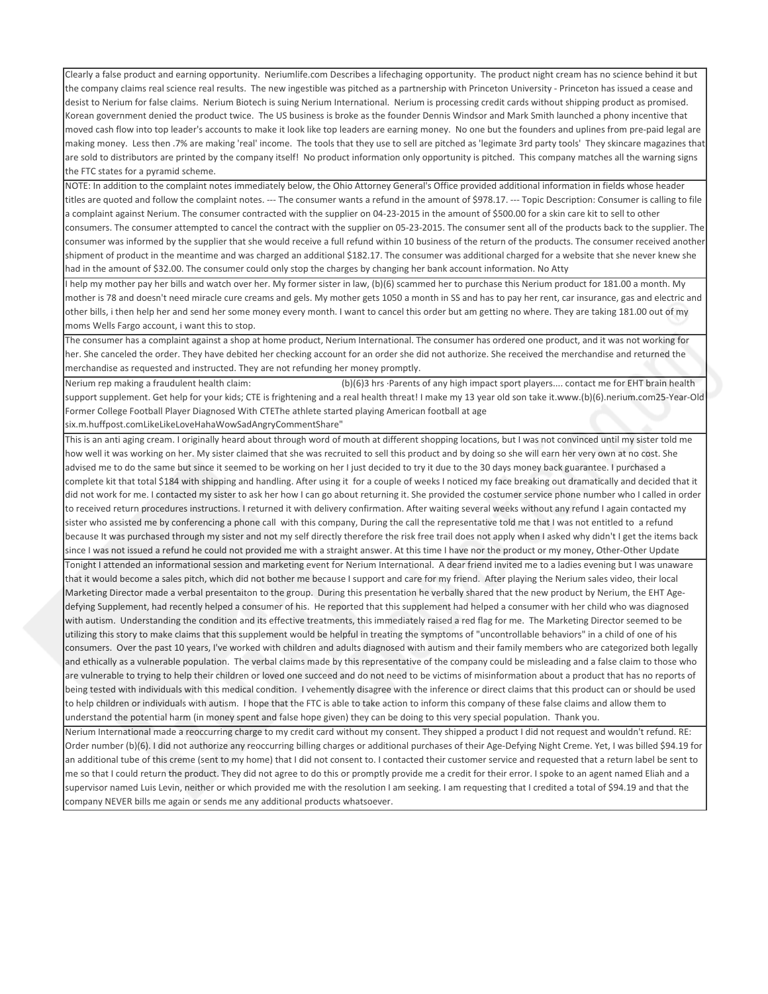Clearly a false product and earning opportunity. Neriumlife.com Describes a lifechaging opportunity. The product night cream has no science behind it but the company claims real science real results. The new ingestible was pitched as a partnership with Princeton University - Princeton has issued a cease and desist to Nerium for false claims. Nerium Biotech is suing Nerium International. Nerium is processing credit cards without shipping product as promised. Korean government denied the product twice. The US business is broke as the founder Dennis Windsor and Mark Smith launched a phony incentive that moved cash flow into top leader's accounts to make it look like top leaders are earning money. No one but the founders and uplines from pre-paid legal are making money. Less then .7% are making 'real' income. The tools that they use to sell are pitched as 'legimate 3rd party tools' They skincare magazines that are sold to distributors are printed by the company itself! No product information only opportunity is pitched. This company matches all the warning signs the FTC states for a pyramid scheme.

NOTE: In addition to the complaint notes immediately below, the Ohio Attorney General's Office provided additional information in fields whose header titles are quoted and follow the complaint notes. --- The consumer wants a refund in the amount of \$978.17. --- Topic Description: Consumer is calling to file a complaint against Nerium. The consumer contracted with the supplier on 04-23-2015 in the amount of \$500.00 for a skin care kit to sell to other consumers. The consumer attempted to cancel the contract with the supplier on 05-23-2015. The consumer sent all of the products back to the supplier. The consumer was informed by the supplier that she would receive a full refund within 10 business of the return of the products. The consumer received another shipment of product in the meantime and was charged an additional \$182.17. The consumer was additional charged for a website that she never knew she had in the amount of \$32.00. The consumer could only stop the charges by changing her bank account information. No Atty

I help my mother pay her bills and watch over her. My former sister in law, (b)(6) scammed her to purchase this Nerium product for 181.00 a month. My mother is 78 and doesn't need miracle cure creams and gels. My mother gets 1050 a month in SS and has to pay her rent, car insurance, gas and electric and other bills, i then help her and send her some money every month. I want to cancel this order but am getting no where. They are taking 181.00 out of my moms Wells Fargo account, i want this to stop.

The consumer has a complaint against a shop at home product, Nerium International. The consumer has ordered one product, and it was not working for her. She canceled the order. They have debited her checking account for an order she did not authorize. She received the merchandise and returned the merchandise as requested and instructed. They are not refunding her money promptly.

Nerium rep making a fraudulent health claim: (b)(6)3 hrs ·Parents of any high impact sport players.... contact me for EHT brain health support supplement. Get help for your kids; CTE is frightening and a real health threat! I make my 13 year old son take it.www.(b)(6).nerium.com25-Year-Old Former College Football Player Diagnosed With CTEThe athlete started playing American football at age

six.m.huffpost.comLikeLikeLoveHahaWowSadAngryCommentShare"

This is an anti aging cream. I originally heard about through word of mouth at different shopping locations, but I was not convinced until my sister told me how well it was working on her. My sister claimed that she was recruited to sell this product and by doing so she will earn her very own at no cost. She advised me to do the same but since it seemed to be working on her I just decided to try it due to the 30 days money back guarantee. I purchased a lcomplete kit that total \$184 with shipping and handling. After using it for a couple of weeks I noticed my face breaking out dramatically and decided that it did not work for me. I contacted my sister to ask her how I can go about returning it. She provided the costumer service phone number who I called in order to received return procedures instructions. I returned it with delivery confirmation. After waiting several weeks without any refund I again contacted my sister who assisted me by conferencing a phone call with this company, During the call the representative told me that I was not entitled to a refund because It was purchased through my sister and not my self directly therefore the risk free trail does not apply when I asked why didn't I get the items back since I was not issued a refund he could not provided me with a straight answer. At this time I have nor the product or my money, Other-Other Update Tonight I attended an informational session and marketing event for Nerium International. A dear friend invited me to a ladies evening but I was unaware that it would become a sales pitch, which did not bother me because I support and care for my friend. After playing the Nerium sales video, their local Marketing Director made a verbal presentaiton to the group. During this presentation he verbally shared that the new product by Nerium, the EHT Agedefying Supplement, had recently helped a consumer of his. He reported that this supplement had helped a consumer with her child who was diagnosed with autism. Understanding the condition and its effective treatments, this immediately raised a red flag for me. The Marketing Director seemed to be utilizing this story to make claims that this supplement would be helpful in treating the symptoms of "uncontrollable behaviors" in a child of one of his consumers. Over the past 10 years, I've worked with children and adults diagnosed with autism and their family members who are categorized both legally and ethically as a vulnerable population. The verbal claims made by this representative of the company could be misleading and a false claim to those who are vulnerable to trying to help their children or loved one succeed and do not need to be victims of misinformation about a product that has no reports of being tested with individuals with this medical condition. I vehemently disagree with the inference or direct claims that this product can or should be used to help children or individuals with autism. I hope that the FTC is able to take action to inform this company of these false claims and allow them to understand the potential harm (in money spent and false hope given) they can be doing to this very special population. Thank you.

Nerium International made a reoccurring charge to my credit card without my consent. They shipped a product I did not request and wouldn't refund. RE: Order number (b)(6). I did not authorize any reoccurring billing charges or additional purchases of their Age-Defying Night Creme. Yet, I was billed \$94.19 for an additional tube of this creme (sent to my home) that I did not consent to. I contacted their customer service and requested that a return label be sent to me so that I could return the product. They did not agree to do this or promptly provide me a credit for their error. I spoke to an agent named Eliah and a supervisor named Luis Levin, neither or which provided me with the resolution I am seeking. I am requesting that I credited a total of \$94.19 and that the company NEVER bills me again or sends me any additional products whatsoever.